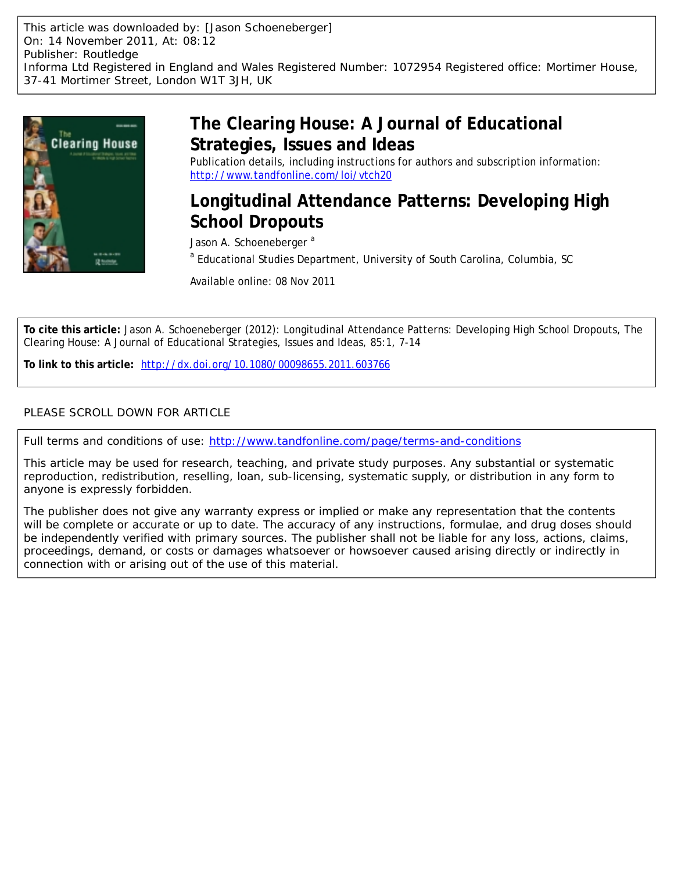This article was downloaded by: [Jason Schoeneberger] On: 14 November 2011, At: 08:12 Publisher: Routledge Informa Ltd Registered in England and Wales Registered Number: 1072954 Registered office: Mortimer House, 37-41 Mortimer Street, London W1T 3JH, UK



# **The Clearing House: A Journal of Educational Strategies, Issues and Ideas**

Publication details, including instructions for authors and subscription information: <http://www.tandfonline.com/loi/vtch20>

# **Longitudinal Attendance Patterns: Developing High School Dropouts**

Jason A. Schoeneberger<sup>a</sup>

<sup>a</sup> Educational Studies Department, University of South Carolina, Columbia, SC

Available online: 08 Nov 2011

**To cite this article:** Jason A. Schoeneberger (2012): Longitudinal Attendance Patterns: Developing High School Dropouts, The Clearing House: A Journal of Educational Strategies, Issues and Ideas, 85:1, 7-14

**To link to this article:** <http://dx.doi.org/10.1080/00098655.2011.603766>

# PLEASE SCROLL DOWN FOR ARTICLE

Full terms and conditions of use:<http://www.tandfonline.com/page/terms-and-conditions>

This article may be used for research, teaching, and private study purposes. Any substantial or systematic reproduction, redistribution, reselling, loan, sub-licensing, systematic supply, or distribution in any form to anyone is expressly forbidden.

The publisher does not give any warranty express or implied or make any representation that the contents will be complete or accurate or up to date. The accuracy of any instructions, formulae, and drug doses should be independently verified with primary sources. The publisher shall not be liable for any loss, actions, claims, proceedings, demand, or costs or damages whatsoever or howsoever caused arising directly or indirectly in connection with or arising out of the use of this material.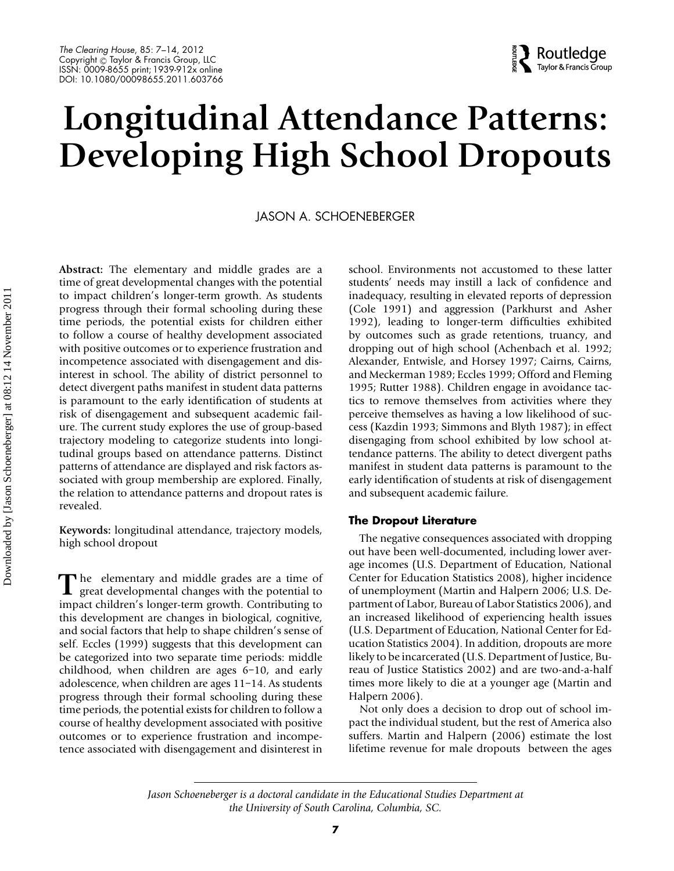#### *The Clearing House*, 85: 7–14, 2012 Copyright @ Taylor & Francis Group, LLC ISSN: 0009-8655 print; 1939-912x online DOI: 10.1080/00098655.2011.603766

# $\frac{2}{3}$  Routledge

# **Longitudinal Attendance Patterns: Developing High School Dropouts**

# JASON A. SCHOENEBERGER

**Abstract:** The elementary and middle grades are a time of great developmental changes with the potential to impact children's longer-term growth. As students progress through their formal schooling during these time periods, the potential exists for children either to follow a course of healthy development associated with positive outcomes or to experience frustration and incompetence associated with disengagement and disinterest in school. The ability of district personnel to detect divergent paths manifest in student data patterns is paramount to the early identification of students at risk of disengagement and subsequent academic failure. The current study explores the use of group-based trajectory modeling to categorize students into longitudinal groups based on attendance patterns. Distinct patterns of attendance are displayed and risk factors associated with group membership are explored. Finally, the relation to attendance patterns and dropout rates is revealed.

**Keywords:** longitudinal attendance, trajectory models, high school dropout

The elementary and middle grades are a time of great developmental changes with the potential to impact children's longer-term growth. Contributing to this development are changes in biological, cognitive, and social factors that help to shape children's sense of self. Eccles (1999) suggests that this development can be categorized into two separate time periods: middle childhood, when children are ages 6–10, and early adolescence, when children are ages 11–14. As students progress through their formal schooling during these time periods, the potential exists for children to follow a course of healthy development associated with positive outcomes or to experience frustration and incompetence associated with disengagement and disinterest in

school. Environments not accustomed to these latter students' needs may instill a lack of confidence and inadequacy, resulting in elevated reports of depression (Cole 1991) and aggression (Parkhurst and Asher 1992), leading to longer-term difficulties exhibited by outcomes such as grade retentions, truancy, and dropping out of high school (Achenbach et al. 1992; Alexander, Entwisle, and Horsey 1997; Cairns, Cairns, and Meckerman 1989; Eccles 1999; Offord and Fleming 1995; Rutter 1988). Children engage in avoidance tactics to remove themselves from activities where they perceive themselves as having a low likelihood of success (Kazdin 1993; Simmons and Blyth 1987); in effect disengaging from school exhibited by low school attendance patterns. The ability to detect divergent paths manifest in student data patterns is paramount to the early identification of students at risk of disengagement and subsequent academic failure.

## **The Dropout Literature**

The negative consequences associated with dropping out have been well-documented, including lower average incomes (U.S. Department of Education, National Center for Education Statistics 2008), higher incidence of unemployment (Martin and Halpern 2006; U.S. Department of Labor, Bureau of Labor Statistics 2006), and an increased likelihood of experiencing health issues (U.S. Department of Education, National Center for Education Statistics 2004). In addition, dropouts are more likely to be incarcerated (U.S. Department of Justice, Bureau of Justice Statistics 2002) and are two-and-a-half times more likely to die at a younger age (Martin and Halpern 2006).

Not only does a decision to drop out of school impact the individual student, but the rest of America also suffers. Martin and Halpern (2006) estimate the lost lifetime revenue for male dropouts between the ages

*Jason Schoeneberger is a doctoral candidate in the Educational Studies Department at the University of South Carolina, Columbia, SC.*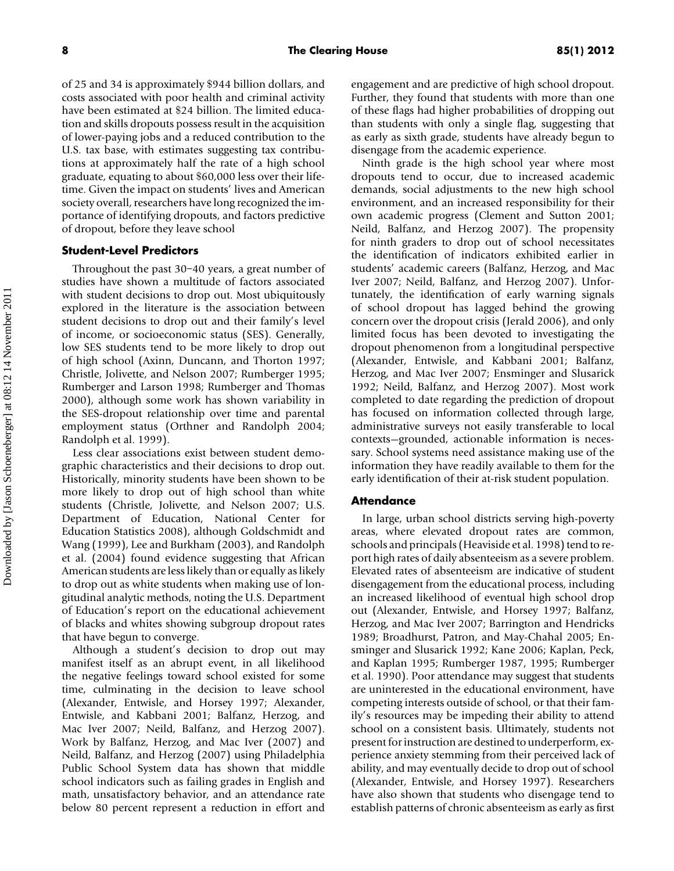of 25 and 34 is approximately \$944 billion dollars, and costs associated with poor health and criminal activity have been estimated at \$24 billion. The limited education and skills dropouts possess result in the acquisition of lower-paying jobs and a reduced contribution to the U.S. tax base, with estimates suggesting tax contributions at approximately half the rate of a high school graduate, equating to about \$60,000 less over their lifetime. Given the impact on students' lives and American society overall, researchers have long recognized the importance of identifying dropouts, and factors predictive of dropout, before they leave school

## **Student-Level Predictors**

Throughout the past 30–40 years, a great number of studies have shown a multitude of factors associated with student decisions to drop out. Most ubiquitously explored in the literature is the association between student decisions to drop out and their family's level of income, or socioeconomic status (SES). Generally, low SES students tend to be more likely to drop out of high school (Axinn, Duncann, and Thorton 1997; Christle, Jolivette, and Nelson 2007; Rumberger 1995; Rumberger and Larson 1998; Rumberger and Thomas 2000), although some work has shown variability in the SES-dropout relationship over time and parental employment status (Orthner and Randolph 2004; Randolph et al. 1999).

Less clear associations exist between student demographic characteristics and their decisions to drop out. Historically, minority students have been shown to be more likely to drop out of high school than white students (Christle, Jolivette, and Nelson 2007; U.S. Department of Education, National Center for Education Statistics 2008), although Goldschmidt and Wang (1999), Lee and Burkham (2003), and Randolph et al. (2004) found evidence suggesting that African American students are less likely than or equally as likely to drop out as white students when making use of longitudinal analytic methods, noting the U.S. Department of Education's report on the educational achievement of blacks and whites showing subgroup dropout rates that have begun to converge.

Although a student's decision to drop out may manifest itself as an abrupt event, in all likelihood the negative feelings toward school existed for some time, culminating in the decision to leave school (Alexander, Entwisle, and Horsey 1997; Alexander, Entwisle, and Kabbani 2001; Balfanz, Herzog, and Mac Iver 2007; Neild, Balfanz, and Herzog 2007). Work by Balfanz, Herzog, and Mac Iver (2007) and Neild, Balfanz, and Herzog (2007) using Philadelphia Public School System data has shown that middle school indicators such as failing grades in English and math, unsatisfactory behavior, and an attendance rate below 80 percent represent a reduction in effort and

engagement and are predictive of high school dropout. Further, they found that students with more than one of these flags had higher probabilities of dropping out than students with only a single flag, suggesting that as early as sixth grade, students have already begun to disengage from the academic experience.

Ninth grade is the high school year where most dropouts tend to occur, due to increased academic demands, social adjustments to the new high school environment, and an increased responsibility for their own academic progress (Clement and Sutton 2001; Neild, Balfanz, and Herzog 2007). The propensity for ninth graders to drop out of school necessitates the identification of indicators exhibited earlier in students' academic careers (Balfanz, Herzog, and Mac Iver 2007; Neild, Balfanz, and Herzog 2007). Unfortunately, the identification of early warning signals of school dropout has lagged behind the growing concern over the dropout crisis (Jerald 2006), and only limited focus has been devoted to investigating the dropout phenomenon from a longitudinal perspective (Alexander, Entwisle, and Kabbani 2001; Balfanz, Herzog, and Mac Iver 2007; Ensminger and Slusarick 1992; Neild, Balfanz, and Herzog 2007). Most work completed to date regarding the prediction of dropout has focused on information collected through large, administrative surveys not easily transferable to local contexts—grounded, actionable information is necessary. School systems need assistance making use of the information they have readily available to them for the early identification of their at-risk student population.

#### **Attendance**

In large, urban school districts serving high-poverty areas, where elevated dropout rates are common, schools and principals (Heaviside et al. 1998) tend to report high rates of daily absenteeism as a severe problem. Elevated rates of absenteeism are indicative of student disengagement from the educational process, including an increased likelihood of eventual high school drop out (Alexander, Entwisle, and Horsey 1997; Balfanz, Herzog, and Mac Iver 2007; Barrington and Hendricks 1989; Broadhurst, Patron, and May-Chahal 2005; Ensminger and Slusarick 1992; Kane 2006; Kaplan, Peck, and Kaplan 1995; Rumberger 1987, 1995; Rumberger et al. 1990). Poor attendance may suggest that students are uninterested in the educational environment, have competing interests outside of school, or that their family's resources may be impeding their ability to attend school on a consistent basis. Ultimately, students not present for instruction are destined to underperform, experience anxiety stemming from their perceived lack of ability, and may eventually decide to drop out of school (Alexander, Entwisle, and Horsey 1997). Researchers have also shown that students who disengage tend to establish patterns of chronic absenteeism as early as first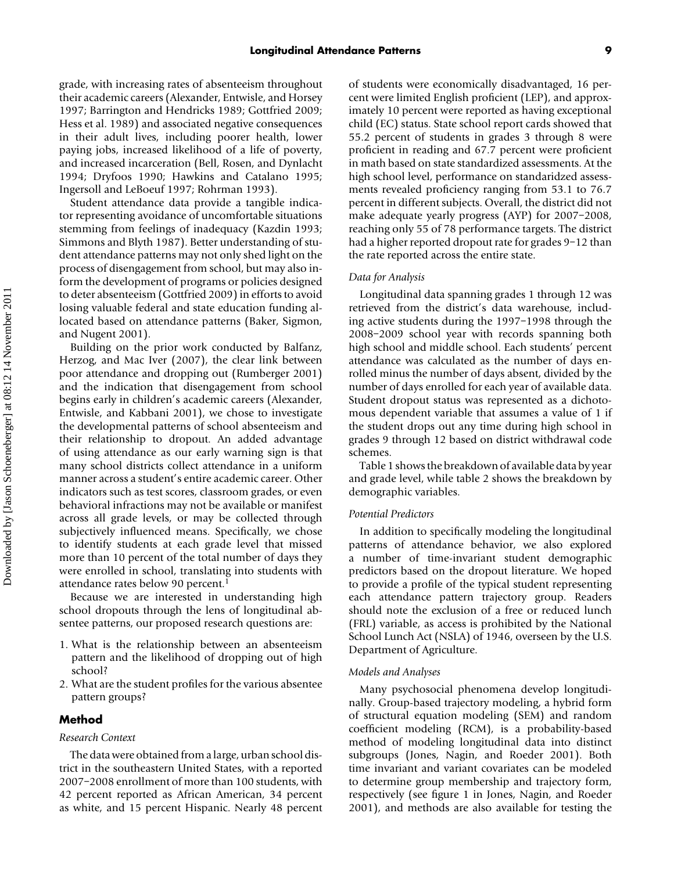grade, with increasing rates of absenteeism throughout their academic careers (Alexander, Entwisle, and Horsey 1997; Barrington and Hendricks 1989; Gottfried 2009; Hess et al. 1989) and associated negative consequences in their adult lives, including poorer health, lower paying jobs, increased likelihood of a life of poverty, and increased incarceration (Bell, Rosen, and Dynlacht 1994; Dryfoos 1990; Hawkins and Catalano 1995; Ingersoll and LeBoeuf 1997; Rohrman 1993).

Student attendance data provide a tangible indicator representing avoidance of uncomfortable situations stemming from feelings of inadequacy (Kazdin 1993; Simmons and Blyth 1987). Better understanding of student attendance patterns may not only shed light on the process of disengagement from school, but may also inform the development of programs or policies designed to deter absenteeism (Gottfried 2009) in efforts to avoid losing valuable federal and state education funding allocated based on attendance patterns (Baker, Sigmon, and Nugent 2001).

Building on the prior work conducted by Balfanz, Herzog, and Mac Iver (2007), the clear link between poor attendance and dropping out (Rumberger 2001) and the indication that disengagement from school begins early in children's academic careers (Alexander, Entwisle, and Kabbani 2001), we chose to investigate the developmental patterns of school absenteeism and their relationship to dropout. An added advantage of using attendance as our early warning sign is that many school districts collect attendance in a uniform manner across a student's entire academic career. Other indicators such as test scores, classroom grades, or even behavioral infractions may not be available or manifest across all grade levels, or may be collected through subjectively influenced means. Specifically, we chose to identify students at each grade level that missed more than 10 percent of the total number of days they were enrolled in school, translating into students with attendance rates below 90 percent.<sup>1</sup>

Because we are interested in understanding high school dropouts through the lens of longitudinal absentee patterns, our proposed research questions are:

- 1. What is the relationship between an absenteeism pattern and the likelihood of dropping out of high school?
- 2. What are the student profiles for the various absentee pattern groups?

### **Method**

#### *Research Context*

The data were obtained from a large, urban school district in the southeastern United States, with a reported 2007–2008 enrollment of more than 100 students, with 42 percent reported as African American, 34 percent as white, and 15 percent Hispanic. Nearly 48 percent of students were economically disadvantaged, 16 percent were limited English proficient (LEP), and approximately 10 percent were reported as having exceptional child (EC) status. State school report cards showed that 55.2 percent of students in grades 3 through 8 were proficient in reading and 67.7 percent were proficient in math based on state standardized assessments. At the high school level, performance on standaridzed assessments revealed proficiency ranging from 53.1 to 76.7 percent in different subjects. Overall, the district did not make adequate yearly progress (AYP) for 2007–2008, reaching only 55 of 78 performance targets. The district had a higher reported dropout rate for grades 9-12 than the rate reported across the entire state.

#### *Data for Analysis*

Longitudinal data spanning grades 1 through 12 was retrieved from the district's data warehouse, including active students during the 1997–1998 through the 2008–2009 school year with records spanning both high school and middle school. Each students' percent attendance was calculated as the number of days enrolled minus the number of days absent, divided by the number of days enrolled for each year of available data. Student dropout status was represented as a dichotomous dependent variable that assumes a value of 1 if the student drops out any time during high school in grades 9 through 12 based on district withdrawal code schemes.

Table 1 shows the breakdown of available data by year and grade level, while table 2 shows the breakdown by demographic variables.

#### *Potential Predictors*

In addition to specifically modeling the longitudinal patterns of attendance behavior, we also explored a number of time-invariant student demographic predictors based on the dropout literature. We hoped to provide a profile of the typical student representing each attendance pattern trajectory group. Readers should note the exclusion of a free or reduced lunch (FRL) variable, as access is prohibited by the National School Lunch Act (NSLA) of 1946, overseen by the U.S. Department of Agriculture.

#### *Models and Analyses*

Many psychosocial phenomena develop longitudinally. Group-based trajectory modeling, a hybrid form of structural equation modeling (SEM) and random coefficient modeling (RCM), is a probability-based method of modeling longitudinal data into distinct subgroups (Jones, Nagin, and Roeder 2001). Both time invariant and variant covariates can be modeled to determine group membership and trajectory form, respectively (see figure 1 in Jones, Nagin, and Roeder 2001), and methods are also available for testing the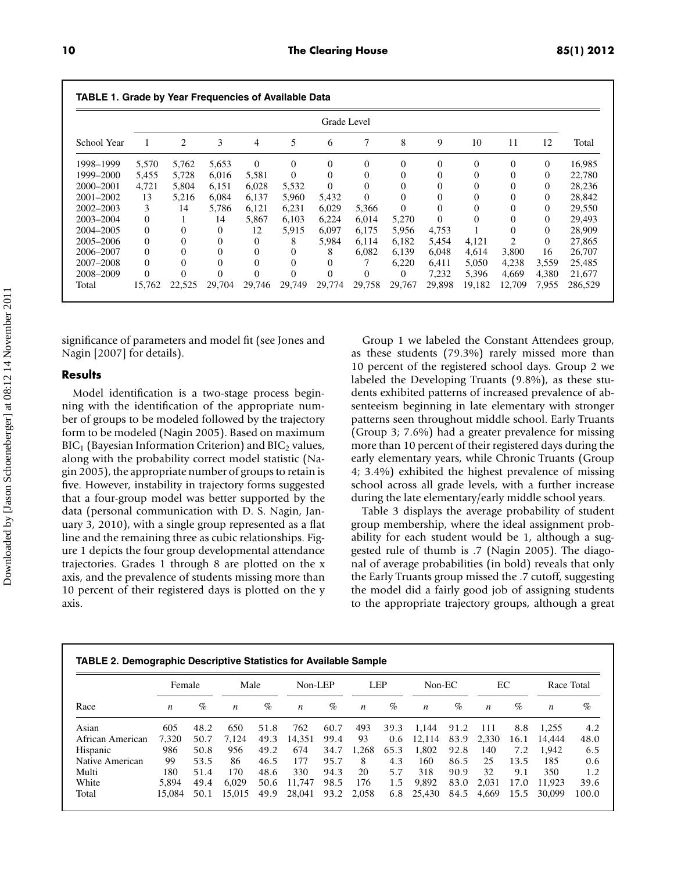|             | Grade Level    |          |              |          |          |              |          |                |          |                |                |              |         |
|-------------|----------------|----------|--------------|----------|----------|--------------|----------|----------------|----------|----------------|----------------|--------------|---------|
| School Year | 1              | 2        | 3            | 4        | 5        | 6            | 7        | 8              | 9        | 10             | 11             | 12           | Total   |
| 1998-1999   | 5.570          | 5.762    | 5,653        | $\theta$ | $\Omega$ | $\mathbf{0}$ | $\theta$ | 0              | $\Omega$ | $\theta$       | $\Omega$       | $\mathbf{0}$ | 16,985  |
| 1999–2000   | 5,455          | 5,728    | 6,016        | 5,581    | $\Omega$ | $\Omega$     | $\Omega$ | 0              | $\Omega$ | $\theta$       | 0              | $\mathbf{0}$ | 22,780  |
| 2000–2001   | 4,721          | 5.804    | 6,151        | 6,028    | 5,532    | $\Omega$     | $\Omega$ | 0              | $\Omega$ | $\overline{0}$ | 0              | $\mathbf{0}$ | 28,236  |
| 2001-2002   | 13             | 5.216    | 6.084        | 6.137    | 5,960    | 5,432        | $\Omega$ | 0              | $\Omega$ | $\overline{0}$ | 0              | $\mathbf{0}$ | 28,842  |
| 2002-2003   | 3              | 14       | 5,786        | 6,121    | 6,231    | 6,029        | 5,366    | $\Omega$       | $\Omega$ | $\Omega$       |                | 0            | 29,550  |
| 2003-2004   | $\mathbf{0}$   |          | 14           | 5.867    | 6,103    | 6,224        | 6,014    | 5,270          | $\Omega$ | $\Omega$       |                | 0            | 29.493  |
| 2004-2005   | $\theta$       | 0        | $\mathbf{0}$ | 12       | 5,915    | 6,097        | 6,175    | 5,956          | 4,753    |                | 0              | 0            | 28,909  |
| 2005-2006   | $\theta$       | $\Omega$ | $\mathbf{0}$ | $\Omega$ | 8        | 5,984        | 6,114    | 6,182          | 5,454    | 4,121          | $\overline{c}$ | $\Omega$     | 27,865  |
| 2006–2007   | $\overline{0}$ | 0        | $\theta$     | $\Omega$ | $\Omega$ | 8            | 6,082    | 6.139          | 6,048    | 4,614          | 3,800          | 16           | 26,707  |
| 2007-2008   | $\Omega$       | 0        | $\theta$     | $\Omega$ | $\Omega$ | $\Omega$     |          | 6.220          | 6,411    | 5,050          | 4,238          | 3,559        | 25,485  |
| 2008-2009   | $\overline{0}$ | $\Omega$ | $\theta$     | $\Omega$ | $\Omega$ | $\mathbf{0}$ | $\Omega$ | $\overline{0}$ | 7,232    | 5,396          | 4,669          | 4,380        | 21,677  |
| Total       | 15.762         | 22,525   | 29,704       | 29,746   | 29,749   | 29,774       | 29,758   | 29,767         | 29,898   | 19,182         | 12,709         | 7,955        | 286,529 |

significance of parameters and model fit (see Jones and Nagin [2007] for details).

### **Results**

Model identification is a two-stage process beginning with the identification of the appropriate number of groups to be modeled followed by the trajectory form to be modeled (Nagin 2005). Based on maximum  $BIC<sub>1</sub>$  (Bayesian Information Criterion) and  $BIC<sub>2</sub>$  values, along with the probability correct model statistic (Nagin 2005), the appropriate number of groups to retain is five. However, instability in trajectory forms suggested that a four-group model was better supported by the data (personal communication with D. S. Nagin, January 3, 2010), with a single group represented as a flat line and the remaining three as cubic relationships. Figure 1 depicts the four group developmental attendance trajectories. Grades 1 through 8 are plotted on the x axis, and the prevalence of students missing more than 10 percent of their registered days is plotted on the y axis.

Group 1 we labeled the Constant Attendees group, as these students (79.3%) rarely missed more than 10 percent of the registered school days. Group 2 we labeled the Developing Truants (9.8%), as these students exhibited patterns of increased prevalence of absenteeism beginning in late elementary with stronger patterns seen throughout middle school. Early Truants (Group 3; 7.6%) had a greater prevalence for missing more than 10 percent of their registered days during the early elementary years, while Chronic Truants (Group 4; 3.4%) exhibited the highest prevalence of missing school across all grade levels, with a further increase during the late elementary/early middle school years.

Table 3 displays the average probability of student group membership, where the ideal assignment probability for each student would be 1, although a suggested rule of thumb is .7 (Nagin 2005). The diagonal of average probabilities (in bold) reveals that only the Early Truants group missed the .7 cutoff, suggesting the model did a fairly good job of assigning students to the appropriate trajectory groups, although a great

|                  | Female |      | Male   |      | Non-LEP |      | <b>LEP</b>       |               | $Non-EC$         |      | EC    |      | Race Total |       |
|------------------|--------|------|--------|------|---------|------|------------------|---------------|------------------|------|-------|------|------------|-------|
| Race             | n      | $\%$ | n      | $\%$ | n       | $\%$ | $\boldsymbol{n}$ | $\%$          | $\boldsymbol{n}$ | $\%$ | n     | $\%$ | n          | %     |
| Asian            | 605    | 48.2 | 650    | 51.8 | 762     | 60.7 | 493              | 39.3          | 1.144            | 91.2 | 111   | 8.8  | 1.255      | 4.2   |
| African American | 7.320  | 50.7 | 7.124  | 49.3 | 14.351  | 99.4 | 93               | $0.6^{\circ}$ | 12.114           | 83.9 | 2.330 | 16.1 | 14.444     | 48.0  |
| Hispanic         | 986    | 50.8 | 956    | 49.2 | 674     | 34.7 | 1.268            | 65.3          | 1.802            | 92.8 | 140   | 7.2  | 1.942      | 6.5   |
| Native American  | 99     | 53.5 | 86     | 46.5 | 177     | 95.7 | 8                | 4.3           | 160              | 86.5 | 25    | 13.5 | 185        | 0.6   |
| Multi            | 180    | 51.4 | 170    | 48.6 | 330     | 94.3 | 20               | 5.7           | 318              | 90.9 | 32    | 9.1  | 350        | 1.2   |
| White            | 5.894  | 49.4 | 6.029  | 50.6 | 11.747  | 98.5 | 176              | 1.5           | 9.892            | 83.0 | 2.031 | 17.0 | 11.923     | 39.6  |
| Total            | 15.084 | 50.1 | 15.015 | 49.9 | 28,041  | 93.2 | 2.058            | 6.8           | 25,430           | 84.5 | 4.669 | 15.5 | 30,099     | 100.0 |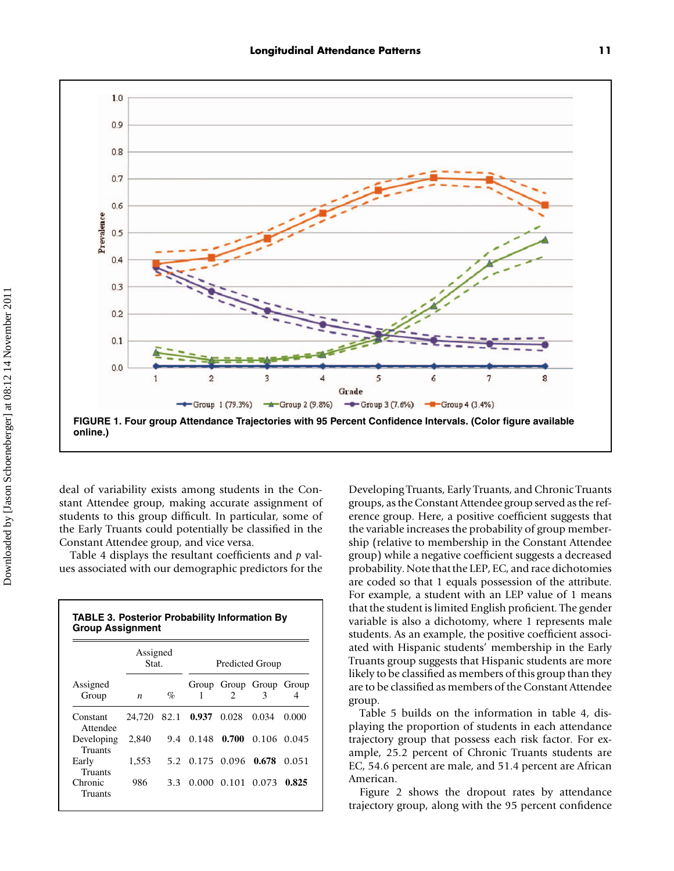

deal of variability exists among students in the Constant Attendee group, making accurate assignment of students to this group difficult. In particular, some of the Early Truants could potentially be classified in the Constant Attendee group, and vice versa.

Table 4 displays the resultant coefficients and *p* values associated with our demographic predictors for the

| <b>TABLE 3. Posterior Probability Information By</b><br><b>Group Assignment</b> |                   |      |                        |                             |                        |            |  |  |  |
|---------------------------------------------------------------------------------|-------------------|------|------------------------|-----------------------------|------------------------|------------|--|--|--|
|                                                                                 | Assigned<br>Stat. |      | <b>Predicted Group</b> |                             |                        |            |  |  |  |
| Assigned<br>Group                                                               | n                 | $\%$ | 1                      | $\mathcal{D}_{\mathcal{L}}$ | Group Group Group<br>3 | Group<br>4 |  |  |  |
| Constant<br>Attendee                                                            | 24.720            | 82.1 | 0.937                  | 0.028                       | 0.034                  | 0.000      |  |  |  |
| Developing<br>Truants                                                           | 2,840             |      | 9.4 0.148 0.700        |                             | 0.106                  | 0.045      |  |  |  |
| Early<br><b>Truants</b>                                                         | 1,553             |      | 5.2 0.175 0.096        |                             | 0.678                  | 0.051      |  |  |  |
| Chronic<br>Truants                                                              | 986               | 3.3  |                        | 0.000 0.101 0.073           |                        | 0.825      |  |  |  |

Developing Truants, Early Truants, and Chronic Truants groups, as the Constant Attendee group served as the reference group. Here, a positive coefficient suggests that the variable increases the probability of group membership (relative to membership in the Constant Attendee group) while a negative coefficient suggests a decreased probability. Note that the LEP, EC, and race dichotomies are coded so that 1 equals possession of the attribute. For example, a student with an LEP value of 1 means that the student is limited English proficient. The gender variable is also a dichotomy, where 1 represents male students. As an example, the positive coefficient associated with Hispanic students' membership in the Early Truants group suggests that Hispanic students are more likely to be classified as members of this group than they are to be classified as members of the Constant Attendee group.

Table 5 builds on the information in table 4, displaying the proportion of students in each attendance trajectory group that possess each risk factor. For example, 25.2 percent of Chronic Truants students are EC, 54.6 percent are male, and 51.4 percent are African American.

Figure 2 shows the dropout rates by attendance trajectory group, along with the 95 percent confidence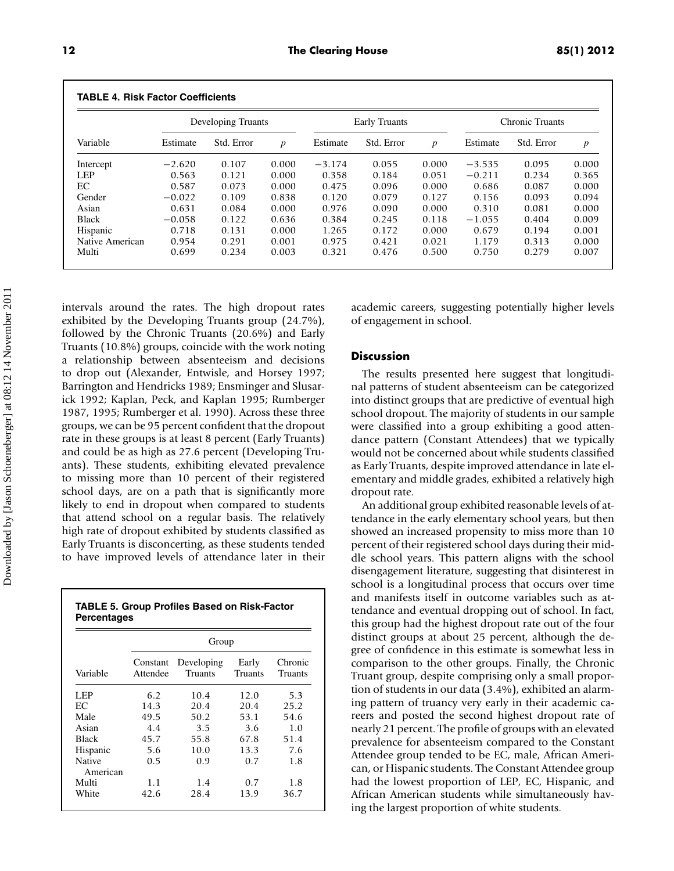| <b>TABLE 4. Risk Factor Coefficients</b> |          |                    |                  |          |                      |                  |                 |            |                  |  |  |
|------------------------------------------|----------|--------------------|------------------|----------|----------------------|------------------|-----------------|------------|------------------|--|--|
|                                          |          | Developing Truants |                  |          | <b>Early Truants</b> |                  | Chronic Truants |            |                  |  |  |
| Variable                                 | Estimate | Std. Error         | $\boldsymbol{p}$ | Estimate | Std. Error           | $\boldsymbol{p}$ | Estimate        | Std. Error | $\boldsymbol{p}$ |  |  |
| Intercept                                | $-2.620$ | 0.107              | 0.000            | $-3.174$ | 0.055                | 0.000            | $-3.535$        | 0.095      | 0.000            |  |  |
| <b>LEP</b>                               | 0.563    | 0.121              | 0.000            | 0.358    | 0.184                | 0.051            | $-0.211$        | 0.234      | 0.365            |  |  |
| EC                                       | 0.587    | 0.073              | 0.000            | 0.475    | 0.096                | 0.000            | 0.686           | 0.087      | 0.000            |  |  |
| Gender                                   | $-0.022$ | 0.109              | 0.838            | 0.120    | 0.079                | 0.127            | 0.156           | 0.093      | 0.094            |  |  |
| Asian                                    | 0.631    | 0.084              | 0.000            | 0.976    | 0.090                | 0.000            | 0.310           | 0.081      | 0.000            |  |  |
| <b>Black</b>                             | $-0.058$ | 0.122              | 0.636            | 0.384    | 0.245                | 0.118            | $-1.055$        | 0.404      | 0.009            |  |  |
| Hispanic                                 | 0.718    | 0.131              | 0.000            | 1.265    | 0.172                | 0.000            | 0.679           | 0.194      | 0.001            |  |  |
| Native American                          | 0.954    | 0.291              | 0.001            | 0.975    | 0.421                | 0.021            | 1.179           | 0.313      | 0.000            |  |  |
| Multi                                    | 0.699    | 0.234              | 0.003            | 0.321    | 0.476                | 0.500            | 0.750           | 0.279      | 0.007            |  |  |

intervals around the rates. The high dropout rates exhibited by the Developing Truants group (24.7%), followed by the Chronic Truants (20.6%) and Early Truants (10.8%) groups, coincide with the work noting a relationship between absenteeism and decisions to drop out (Alexander, Entwisle, and Horsey 1997; Barrington and Hendricks 1989; Ensminger and Slusarick 1992; Kaplan, Peck, and Kaplan 1995; Rumberger 1987, 1995; Rumberger et al. 1990). Across these three groups, we can be 95 percent confident that the dropout rate in these groups is at least 8 percent (Early Truants) and could be as high as 27.6 percent (Developing Truants). These students, exhibiting elevated prevalence to missing more than 10 percent of their registered school days, are on a path that is significantly more likely to end in dropout when compared to students that attend school on a regular basis. The relatively high rate of dropout exhibited by students classified as Early Truants is disconcerting, as these students tended to have improved levels of attendance later in their

|             | <b>TABLE 5. Group Profiles Based on Risk-Factor</b> |
|-------------|-----------------------------------------------------|
| Percentages |                                                     |

|                    | Group                |                              |                  |                    |  |  |  |  |  |  |
|--------------------|----------------------|------------------------------|------------------|--------------------|--|--|--|--|--|--|
| Variable           | Constant<br>Attendee | Developing<br><b>Truants</b> | Early<br>Truants | Chronic<br>Truants |  |  |  |  |  |  |
| LEP                | 6.2                  | 10.4                         | 12.0             | 5.3                |  |  |  |  |  |  |
| EC.                | 14.3                 | 20.4                         | 20.4             | 25.2               |  |  |  |  |  |  |
| Male               | 49.5                 | 50.2                         | 53.1             | 54.6               |  |  |  |  |  |  |
| Asian              | 4.4                  | 3.5                          | 3.6              | 1.0                |  |  |  |  |  |  |
| <b>Black</b>       | 45.7                 | 55.8                         | 67.8             | 51.4               |  |  |  |  |  |  |
| Hispanic           | 5.6                  | 10.0                         | 13.3             | 7.6                |  |  |  |  |  |  |
| Native<br>American | 0.5                  | 0.9                          | 0.7              | 1.8                |  |  |  |  |  |  |
| Multi              | 1.1                  | 1.4                          | 0.7              | 1.8                |  |  |  |  |  |  |
| White              | 42.6                 | 28.4                         | 13.9             | 36.7               |  |  |  |  |  |  |

academic careers, suggesting potentially higher levels of engagement in school.

#### **Discussion**

The results presented here suggest that longitudinal patterns of student absenteeism can be categorized into distinct groups that are predictive of eventual high school dropout. The majority of students in our sample were classified into a group exhibiting a good attendance pattern (Constant Attendees) that we typically would not be concerned about while students classified as Early Truants, despite improved attendance in late elementary and middle grades, exhibited a relatively high dropout rate.

An additional group exhibited reasonable levels of attendance in the early elementary school years, but then showed an increased propensity to miss more than 10 percent of their registered school days during their middle school years. This pattern aligns with the school disengagement literature, suggesting that disinterest in school is a longitudinal process that occurs over time and manifests itself in outcome variables such as attendance and eventual dropping out of school. In fact, this group had the highest dropout rate out of the four distinct groups at about 25 percent, although the degree of confidence in this estimate is somewhat less in comparison to the other groups. Finally, the Chronic Truant group, despite comprising only a small proportion of students in our data (3.4%), exhibited an alarming pattern of truancy very early in their academic careers and posted the second highest dropout rate of nearly 21 percent. The profile of groups with an elevated prevalence for absenteeism compared to the Constant Attendee group tended to be EC, male, African American, or Hispanic students. The Constant Attendee group had the lowest proportion of LEP, EC, Hispanic, and African American students while simultaneously having the largest proportion of white students.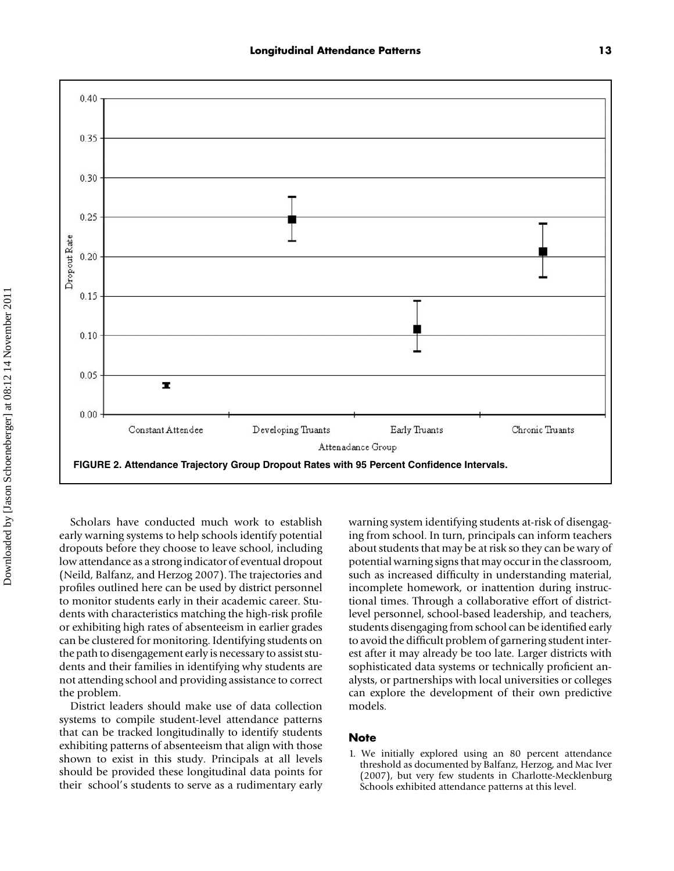

Scholars have conducted much work to establish early warning systems to help schools identify potential dropouts before they choose to leave school, including low attendance as a strong indicator of eventual dropout (Neild, Balfanz, and Herzog 2007). The trajectories and profiles outlined here can be used by district personnel to monitor students early in their academic career. Students with characteristics matching the high-risk profile or exhibiting high rates of absenteeism in earlier grades can be clustered for monitoring. Identifying students on the path to disengagement early is necessary to assist students and their families in identifying why students are not attending school and providing assistance to correct the problem.

District leaders should make use of data collection systems to compile student-level attendance patterns that can be tracked longitudinally to identify students exhibiting patterns of absenteeism that align with those shown to exist in this study. Principals at all levels should be provided these longitudinal data points for their school's students to serve as a rudimentary early

warning system identifying students at-risk of disengaging from school. In turn, principals can inform teachers about students that may be at risk so they can be wary of potential warning signs that may occur in the classroom, such as increased difficulty in understanding material, incomplete homework, or inattention during instructional times. Through a collaborative effort of districtlevel personnel, school-based leadership, and teachers, students disengaging from school can be identified early to avoid the difficult problem of garnering student interest after it may already be too late. Larger districts with sophisticated data systems or technically proficient analysts, or partnerships with local universities or colleges can explore the development of their own predictive models.

#### **Note**

1. We initially explored using an 80 percent attendance threshold as documented by Balfanz, Herzog, and Mac Iver (2007), but very few students in Charlotte-Mecklenburg Schools exhibited attendance patterns at this level.